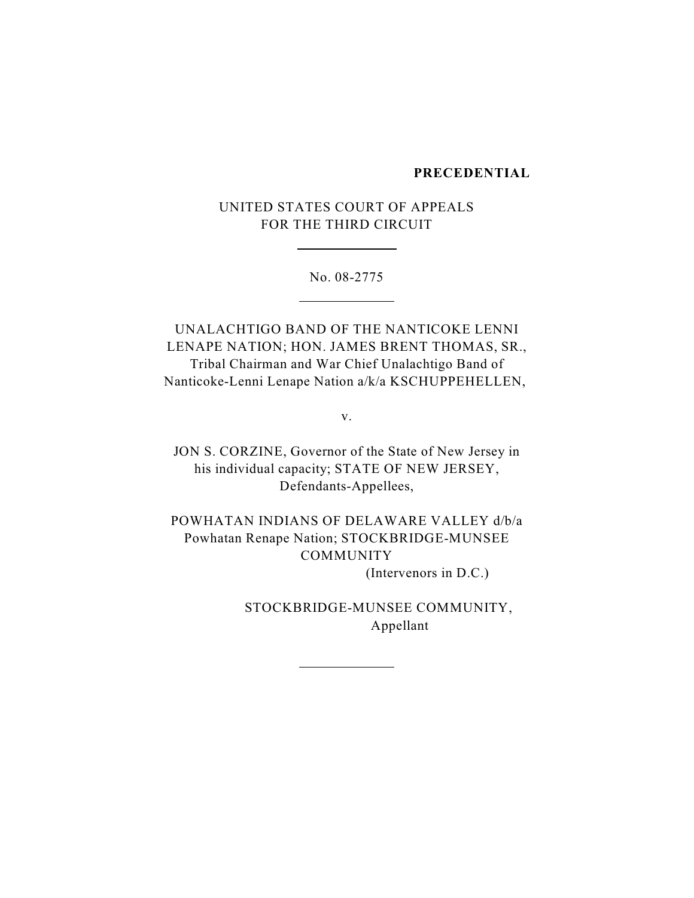#### **PRECEDENTIAL**

# UNITED STATES COURT OF APPEALS FOR THE THIRD CIRCUIT

 $\overline{a}$ 

 $\overline{a}$ 

No. 08-2775

UNALACHTIGO BAND OF THE NANTICOKE LENNI LENAPE NATION; HON. JAMES BRENT THOMAS, SR., Tribal Chairman and War Chief Unalachtigo Band of Nanticoke-Lenni Lenape Nation a/k/a KSCHUPPEHELLEN,

v.

JON S. CORZINE, Governor of the State of New Jersey in his individual capacity; STATE OF NEW JERSEY, Defendants-Appellees,

POWHATAN INDIANS OF DELAWARE VALLEY d/b/a Powhatan Renape Nation; STOCKBRIDGE-MUNSEE COMMUNITY (Intervenors in D.C.)

 $\overline{a}$ 

STOCKBRIDGE-MUNSEE COMMUNITY, Appellant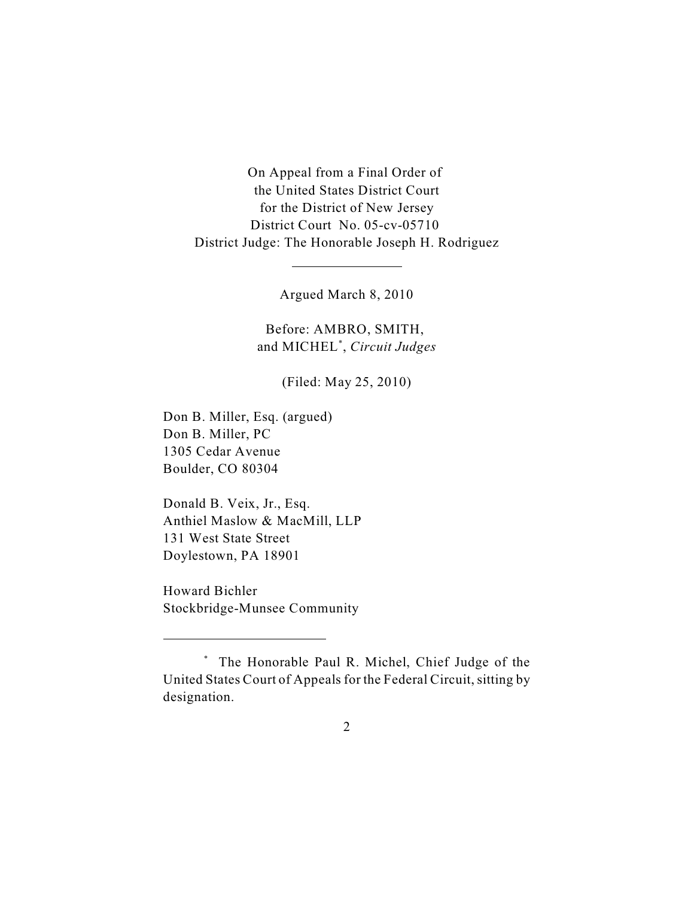On Appeal from a Final Order of the United States District Court for the District of New Jersey District Court No. 05-cv-05710 District Judge: The Honorable Joseph H. Rodriguez

Argued March 8, 2010

 $\overline{a}$ 

Before: AMBRO, SMITH, and MICHEL<sup>\*</sup>, *Circuit Judges* 

(Filed: May 25, 2010)

Don B. Miller, Esq. (argued) Don B. Miller, PC 1305 Cedar Avenue Boulder, CO 80304

Donald B. Veix, Jr., Esq. Anthiel Maslow & MacMill, LLP 131 West State Street Doylestown, PA 18901

Howard Bichler Stockbridge-Munsee Community

The Honorable Paul R. Michel, Chief Judge of the \* United States Court of Appeals for the Federal Circuit, sitting by designation.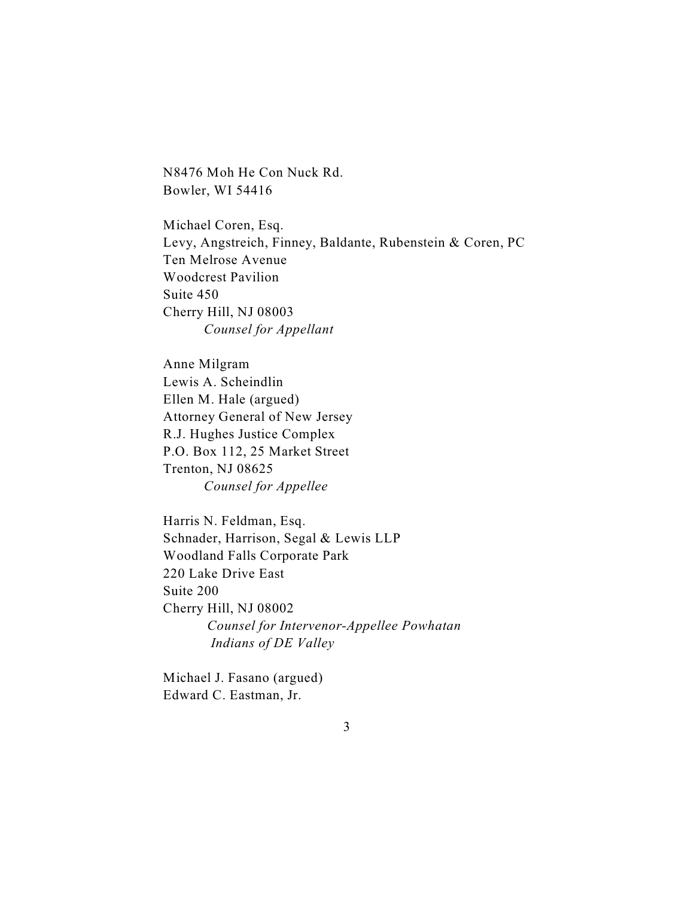N8476 Moh He Con Nuck Rd. Bowler, WI 54416

Michael Coren, Esq. Levy, Angstreich, Finney, Baldante, Rubenstein & Coren, PC Ten Melrose Avenue Woodcrest Pavilion Suite 450 Cherry Hill, NJ 08003 *Counsel for Appellant*

Anne Milgram Lewis A. Scheindlin Ellen M. Hale (argued) Attorney General of New Jersey R.J. Hughes Justice Complex P.O. Box 112, 25 Market Street Trenton, NJ 08625 *Counsel for Appellee*

Harris N. Feldman, Esq. Schnader, Harrison, Segal & Lewis LLP Woodland Falls Corporate Park 220 Lake Drive East Suite 200 Cherry Hill, NJ 08002  *Counsel for Intervenor-Appellee Powhatan Indians of DE Valley*

Michael J. Fasano (argued) Edward C. Eastman, Jr.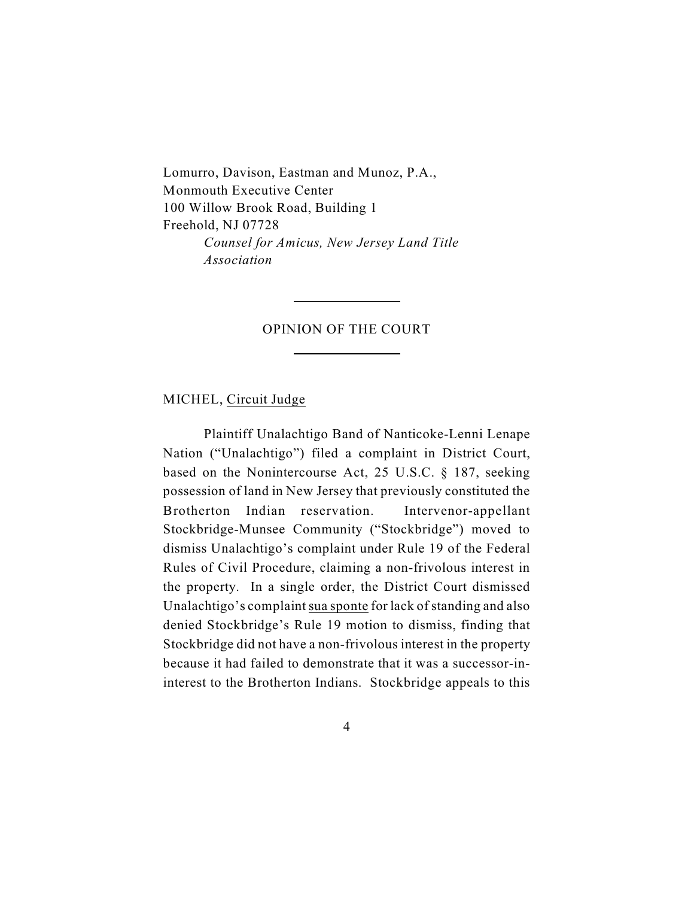Lomurro, Davison, Eastman and Munoz, P.A., Monmouth Executive Center 100 Willow Brook Road, Building 1 Freehold, NJ 07728 *Counsel for Amicus, New Jersey Land Title Association*

 $\overline{a}$ 

 $\overline{a}$ 

### OPINION OF THE COURT

MICHEL, Circuit Judge

Plaintiff Unalachtigo Band of Nanticoke-Lenni Lenape Nation ("Unalachtigo") filed a complaint in District Court, based on the Nonintercourse Act, 25 U.S.C. § 187, seeking possession of land in New Jersey that previously constituted the Brotherton Indian reservation. Intervenor-appellant Stockbridge-Munsee Community ("Stockbridge") moved to dismiss Unalachtigo's complaint under Rule 19 of the Federal Rules of Civil Procedure, claiming a non-frivolous interest in the property. In a single order, the District Court dismissed Unalachtigo's complaint sua sponte for lack of standing and also denied Stockbridge's Rule 19 motion to dismiss, finding that Stockbridge did not have a non-frivolous interest in the property because it had failed to demonstrate that it was a successor-ininterest to the Brotherton Indians. Stockbridge appeals to this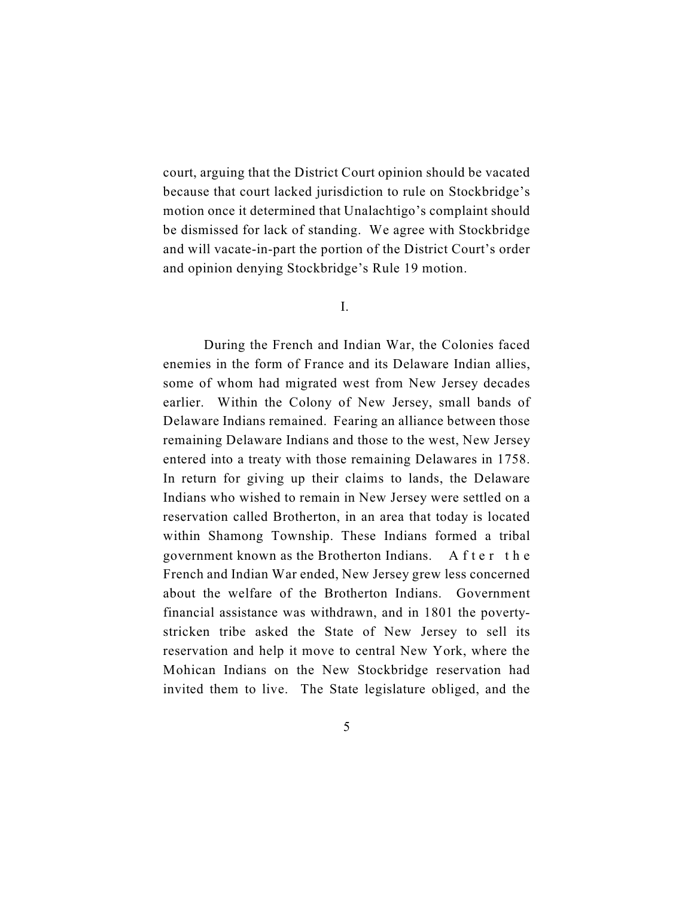court, arguing that the District Court opinion should be vacated because that court lacked jurisdiction to rule on Stockbridge's motion once it determined that Unalachtigo's complaint should be dismissed for lack of standing. We agree with Stockbridge and will vacate-in-part the portion of the District Court's order and opinion denying Stockbridge's Rule 19 motion.

I.

During the French and Indian War, the Colonies faced enemies in the form of France and its Delaware Indian allies, some of whom had migrated west from New Jersey decades earlier. Within the Colony of New Jersey, small bands of Delaware Indians remained. Fearing an alliance between those remaining Delaware Indians and those to the west, New Jersey entered into a treaty with those remaining Delawares in 1758. In return for giving up their claims to lands, the Delaware Indians who wished to remain in New Jersey were settled on a reservation called Brotherton, in an area that today is located within Shamong Township. These Indians formed a tribal government known as the Brotherton Indians. A fter the French and Indian War ended, New Jersey grew less concerned about the welfare of the Brotherton Indians. Government financial assistance was withdrawn, and in 1801 the povertystricken tribe asked the State of New Jersey to sell its reservation and help it move to central New York, where the Mohican Indians on the New Stockbridge reservation had invited them to live. The State legislature obliged, and the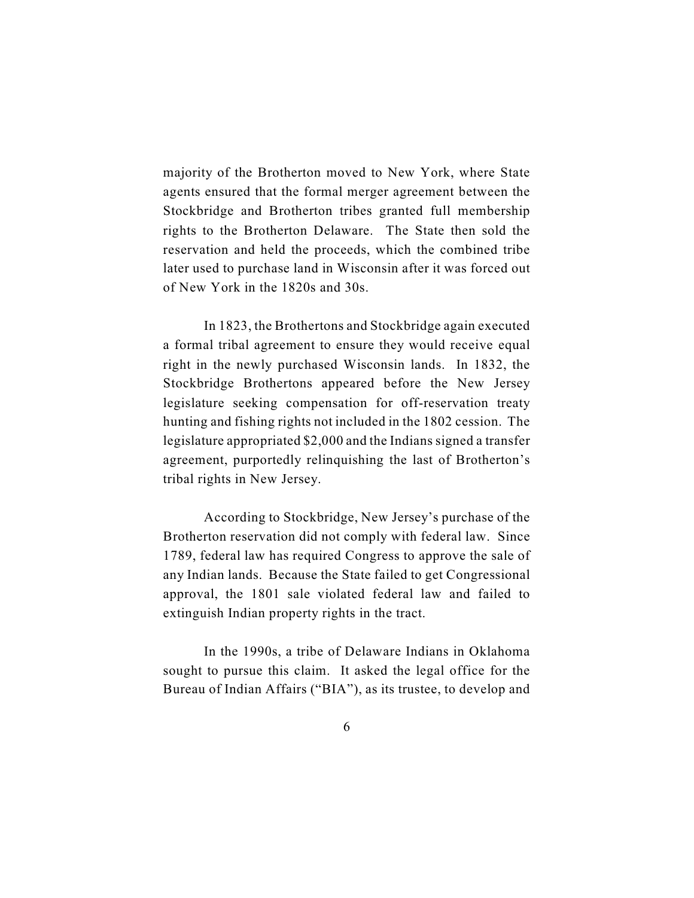majority of the Brotherton moved to New York, where State agents ensured that the formal merger agreement between the Stockbridge and Brotherton tribes granted full membership rights to the Brotherton Delaware. The State then sold the reservation and held the proceeds, which the combined tribe later used to purchase land in Wisconsin after it was forced out of New York in the 1820s and 30s.

In 1823, the Brothertons and Stockbridge again executed a formal tribal agreement to ensure they would receive equal right in the newly purchased Wisconsin lands. In 1832, the Stockbridge Brothertons appeared before the New Jersey legislature seeking compensation for off-reservation treaty hunting and fishing rights not included in the 1802 cession. The legislature appropriated \$2,000 and the Indians signed a transfer agreement, purportedly relinquishing the last of Brotherton's tribal rights in New Jersey.

According to Stockbridge, New Jersey's purchase of the Brotherton reservation did not comply with federal law. Since 1789, federal law has required Congress to approve the sale of any Indian lands. Because the State failed to get Congressional approval, the 1801 sale violated federal law and failed to extinguish Indian property rights in the tract.

In the 1990s, a tribe of Delaware Indians in Oklahoma sought to pursue this claim. It asked the legal office for the Bureau of Indian Affairs ("BIA"), as its trustee, to develop and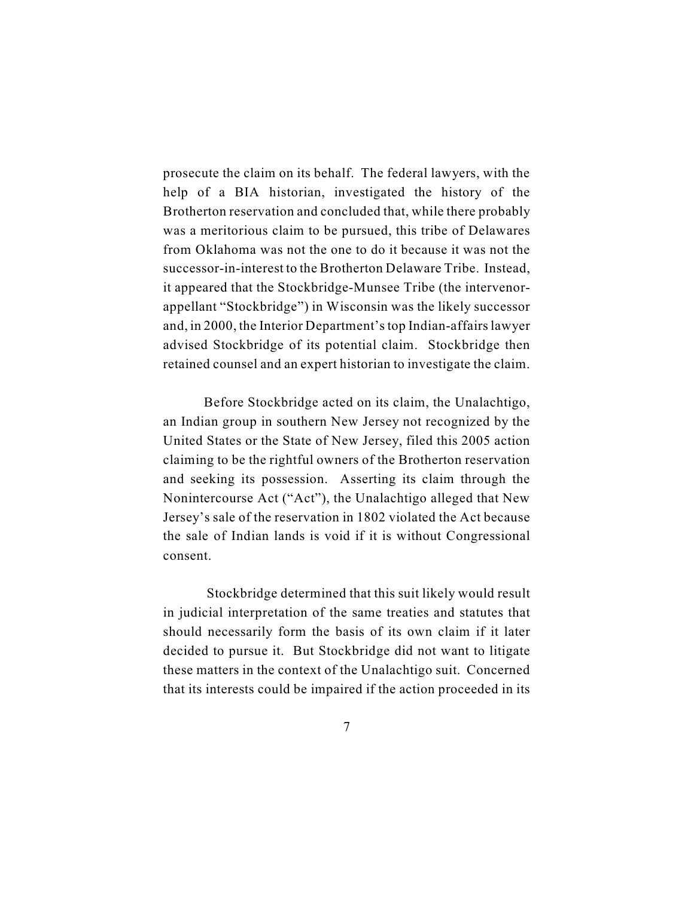prosecute the claim on its behalf. The federal lawyers, with the help of a BIA historian, investigated the history of the Brotherton reservation and concluded that, while there probably was a meritorious claim to be pursued, this tribe of Delawares from Oklahoma was not the one to do it because it was not the successor-in-interest to the Brotherton Delaware Tribe. Instead, it appeared that the Stockbridge-Munsee Tribe (the intervenorappellant "Stockbridge") in Wisconsin was the likely successor and, in 2000, the Interior Department's top Indian-affairs lawyer advised Stockbridge of its potential claim. Stockbridge then retained counsel and an expert historian to investigate the claim.

Before Stockbridge acted on its claim, the Unalachtigo, an Indian group in southern New Jersey not recognized by the United States or the State of New Jersey, filed this 2005 action claiming to be the rightful owners of the Brotherton reservation and seeking its possession. Asserting its claim through the Nonintercourse Act ("Act"), the Unalachtigo alleged that New Jersey's sale of the reservation in 1802 violated the Act because the sale of Indian lands is void if it is without Congressional consent.

 Stockbridge determined that this suit likely would result in judicial interpretation of the same treaties and statutes that should necessarily form the basis of its own claim if it later decided to pursue it. But Stockbridge did not want to litigate these matters in the context of the Unalachtigo suit. Concerned that its interests could be impaired if the action proceeded in its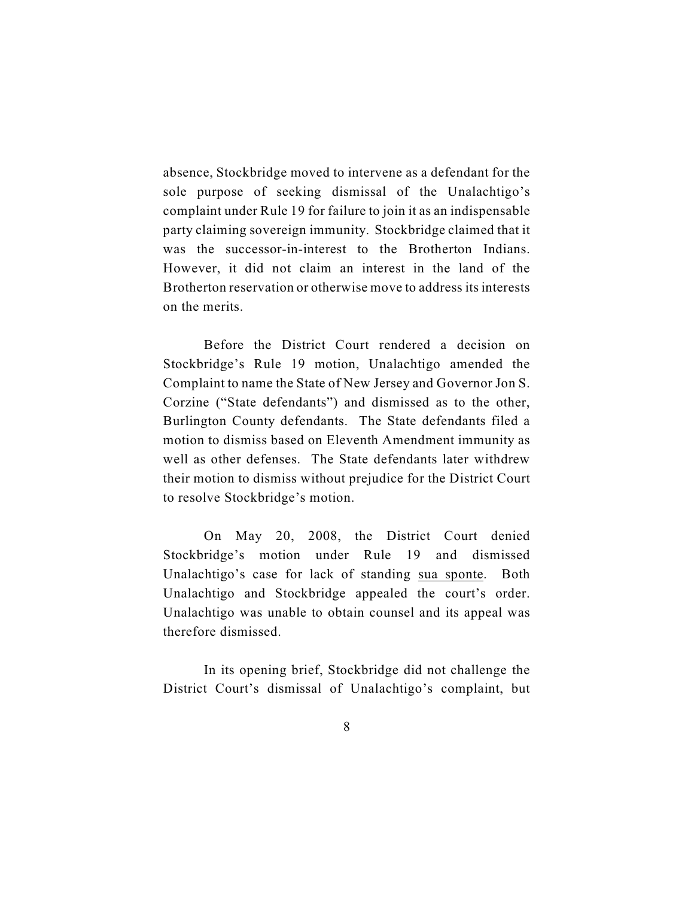absence, Stockbridge moved to intervene as a defendant for the sole purpose of seeking dismissal of the Unalachtigo's complaint under Rule 19 for failure to join it as an indispensable party claiming sovereign immunity. Stockbridge claimed that it was the successor-in-interest to the Brotherton Indians. However, it did not claim an interest in the land of the Brotherton reservation or otherwise move to address its interests on the merits.

Before the District Court rendered a decision on Stockbridge's Rule 19 motion, Unalachtigo amended the Complaint to name the State of New Jersey and Governor Jon S. Corzine ("State defendants") and dismissed as to the other, Burlington County defendants. The State defendants filed a motion to dismiss based on Eleventh Amendment immunity as well as other defenses. The State defendants later withdrew their motion to dismiss without prejudice for the District Court to resolve Stockbridge's motion.

On May 20, 2008, the District Court denied Stockbridge's motion under Rule 19 and dismissed Unalachtigo's case for lack of standing sua sponte. Both Unalachtigo and Stockbridge appealed the court's order. Unalachtigo was unable to obtain counsel and its appeal was therefore dismissed.

In its opening brief, Stockbridge did not challenge the District Court's dismissal of Unalachtigo's complaint, but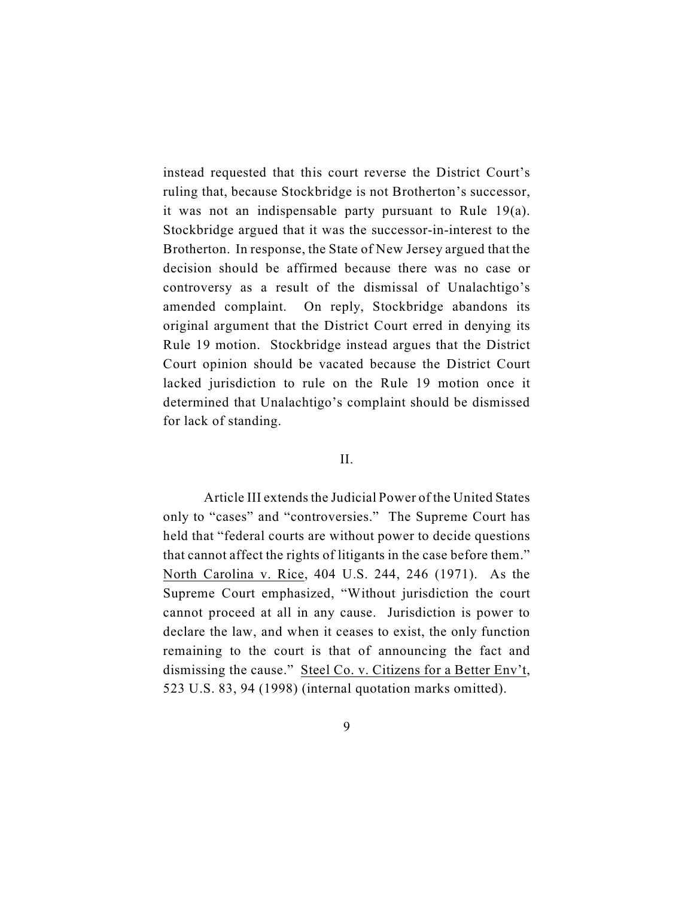instead requested that this court reverse the District Court's ruling that, because Stockbridge is not Brotherton's successor, it was not an indispensable party pursuant to Rule 19(a). Stockbridge argued that it was the successor-in-interest to the Brotherton. In response, the State of New Jersey argued that the decision should be affirmed because there was no case or controversy as a result of the dismissal of Unalachtigo's amended complaint. On reply, Stockbridge abandons its original argument that the District Court erred in denying its Rule 19 motion. Stockbridge instead argues that the District Court opinion should be vacated because the District Court lacked jurisdiction to rule on the Rule 19 motion once it determined that Unalachtigo's complaint should be dismissed for lack of standing.

### II.

Article III extends the Judicial Power of the United States only to "cases" and "controversies." The Supreme Court has held that "federal courts are without power to decide questions that cannot affect the rights of litigants in the case before them." North Carolina v. Rice, 404 U.S. 244, 246 (1971). As the Supreme Court emphasized, "Without jurisdiction the court cannot proceed at all in any cause. Jurisdiction is power to declare the law, and when it ceases to exist, the only function remaining to the court is that of announcing the fact and dismissing the cause." Steel Co. v. Citizens for a Better Env't, 523 U.S. 83, 94 (1998) (internal quotation marks omitted).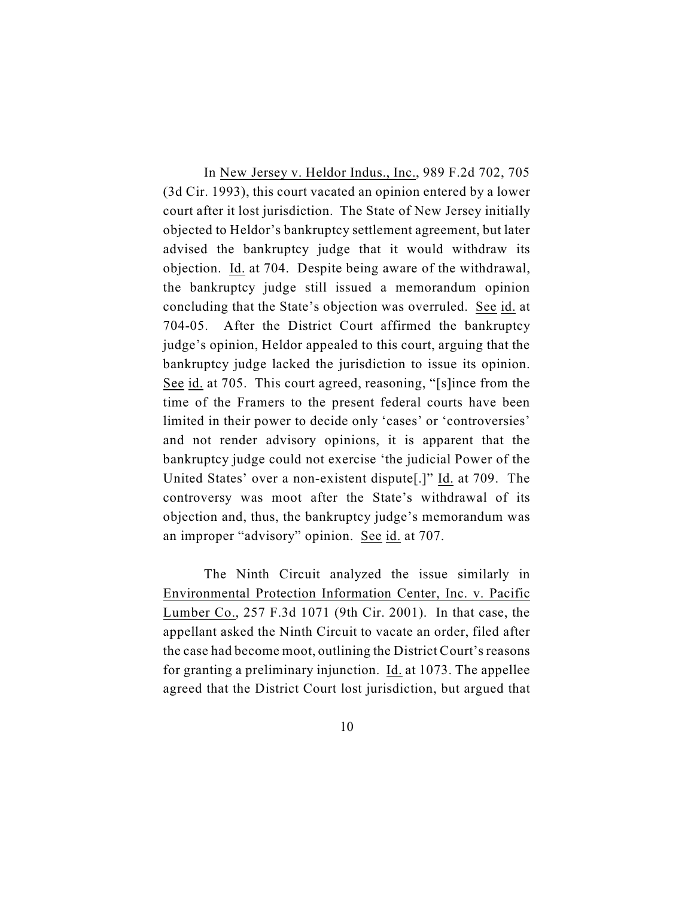In New Jersey v. Heldor Indus., Inc., 989 F.2d 702, 705 (3d Cir. 1993), this court vacated an opinion entered by a lower court after it lost jurisdiction. The State of New Jersey initially objected to Heldor's bankruptcy settlement agreement, but later advised the bankruptcy judge that it would withdraw its objection. Id. at 704. Despite being aware of the withdrawal, the bankruptcy judge still issued a memorandum opinion concluding that the State's objection was overruled. See id. at 704-05. After the District Court affirmed the bankruptcy judge's opinion, Heldor appealed to this court, arguing that the bankruptcy judge lacked the jurisdiction to issue its opinion. See id. at 705. This court agreed, reasoning, "[s]ince from the time of the Framers to the present federal courts have been limited in their power to decide only 'cases' or 'controversies' and not render advisory opinions, it is apparent that the bankruptcy judge could not exercise 'the judicial Power of the United States' over a non-existent dispute[.]" Id. at 709. The controversy was moot after the State's withdrawal of its objection and, thus, the bankruptcy judge's memorandum was an improper "advisory" opinion. See id. at 707.

The Ninth Circuit analyzed the issue similarly in Environmental Protection Information Center, Inc. v. Pacific Lumber Co., 257 F.3d 1071 (9th Cir. 2001). In that case, the appellant asked the Ninth Circuit to vacate an order, filed after the case had become moot, outlining the District Court's reasons for granting a preliminary injunction. Id. at 1073. The appellee agreed that the District Court lost jurisdiction, but argued that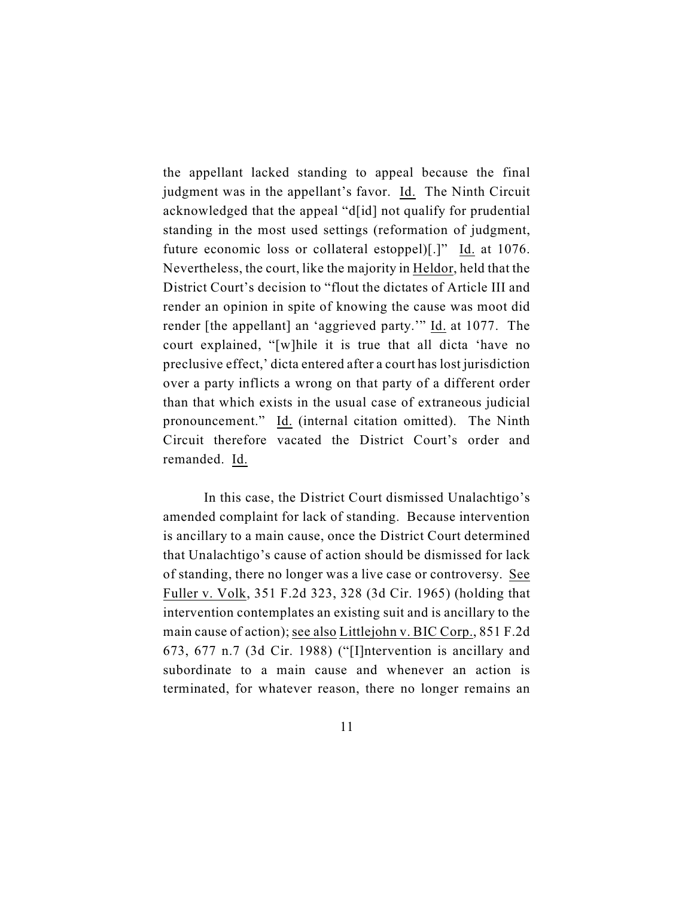the appellant lacked standing to appeal because the final judgment was in the appellant's favor. Id. The Ninth Circuit acknowledged that the appeal "d[id] not qualify for prudential standing in the most used settings (reformation of judgment, future economic loss or collateral estoppel)[.]" Id. at 1076. Nevertheless, the court, like the majority in Heldor, held that the District Court's decision to "flout the dictates of Article III and render an opinion in spite of knowing the cause was moot did render [the appellant] an 'aggrieved party.'" Id. at 1077. The court explained, "[w]hile it is true that all dicta 'have no preclusive effect,' dicta entered after a court has lost jurisdiction over a party inflicts a wrong on that party of a different order than that which exists in the usual case of extraneous judicial pronouncement." Id. (internal citation omitted). The Ninth Circuit therefore vacated the District Court's order and remanded. Id.

In this case, the District Court dismissed Unalachtigo's amended complaint for lack of standing. Because intervention is ancillary to a main cause, once the District Court determined that Unalachtigo's cause of action should be dismissed for lack of standing, there no longer was a live case or controversy. See Fuller v. Volk, 351 F.2d 323, 328 (3d Cir. 1965) (holding that intervention contemplates an existing suit and is ancillary to the main cause of action); see also Littlejohn v. BIC Corp., 851 F.2d 673, 677 n.7 (3d Cir. 1988) ("[I]ntervention is ancillary and subordinate to a main cause and whenever an action is terminated, for whatever reason, there no longer remains an